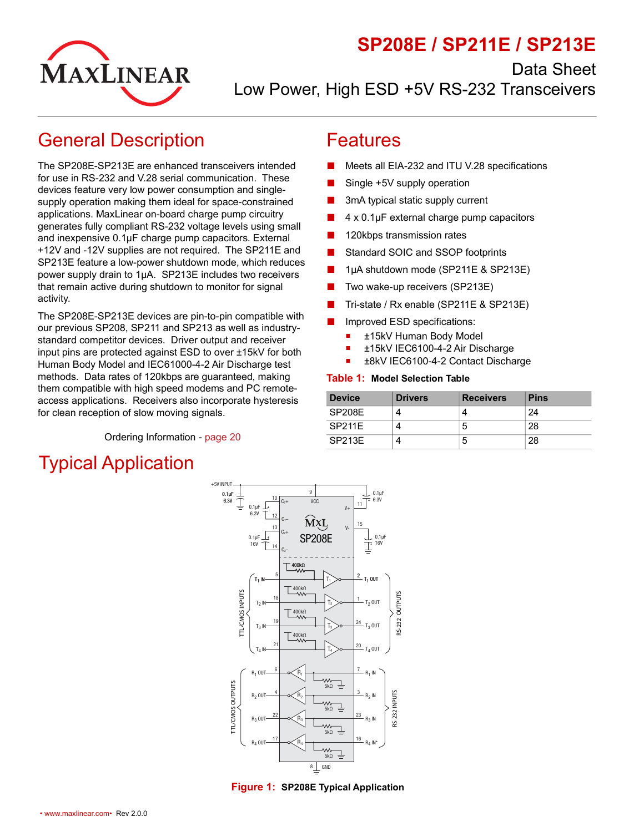

Data Sheet



Low Power, High ESD +5V RS-232 Transceivers

## <span id="page-0-0"></span>General Description

The SP208E-SP213E are enhanced transceivers intended for use in RS-232 and V.28 serial communication. These devices feature very low power consumption and singlesupply operation making them ideal for space-constrained applications. MaxLinear on-board charge pump circuitry generates fully compliant RS-232 voltage levels using small and inexpensive 0.1µF charge pump capacitors. External +12V and -12V supplies are not required. The SP211E and SP213E feature a low-power shutdown mode, which reduces power supply drain to 1µA. SP213E includes two receivers that remain active during shutdown to monitor for signal activity.

The SP208E-SP213E devices are pin-to-pin compatible with our previous SP208, SP211 and SP213 as well as industrystandard competitor devices. Driver output and receiver input pins are protected against ESD to over ±15kV for both Human Body Model and IEC61000-4-2 Air Discharge test methods. Data rates of 120kbps are guaranteed, making them compatible with high speed modems and PC remoteaccess applications. Receivers also incorporate hysteresis for clean reception of slow moving signals.

Ordering Information - [page](#page-24-0) 20

# <span id="page-0-2"></span>Typical Application

### <span id="page-0-1"></span>Features

- Meets all EIA-232 and ITU V.28 specifications
- Single +5V supply operation
- 3mA typical static supply current
- 4 x 0.1μF external charge pump capacitors
- 120kbps transmission rates
- Standard SOIC and SSOP footprints
- 1μA shutdown mode (SP211E & SP213E)
- Two wake-up receivers (SP213E)
- Tri-state / Rx enable (SP211E & SP213E)
- Improved ESD specifications:
	- ±15kV Human Body Model
	- ±15kV IEC6100-4-2 Air Discharge
	- ±8kV IEC6100-4-2 Contact Discharge

#### <span id="page-0-4"></span>**Table 1: Model Selection Table**

| <b>Device</b> | <b>Drivers</b> | <b>Receivers</b> | <b>Pins</b> |
|---------------|----------------|------------------|-------------|
| <b>SP208E</b> | 4              |                  | 24          |
| SP211F        | 4              | b                | 28          |
| SP213E        | 4              | b                | 28          |



<span id="page-0-3"></span>**Figure 1: SP208E Typical Application**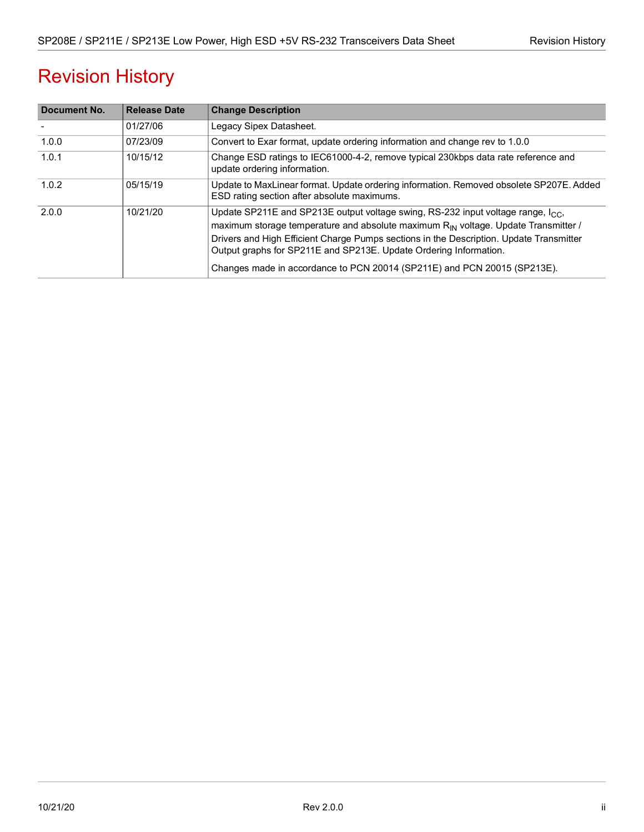# Revision History

| Document No. | <b>Release Date</b> | <b>Change Description</b>                                                                                                                                                                                                                                                                                                                                                                                                                  |
|--------------|---------------------|--------------------------------------------------------------------------------------------------------------------------------------------------------------------------------------------------------------------------------------------------------------------------------------------------------------------------------------------------------------------------------------------------------------------------------------------|
|              | 01/27/06            | Legacy Sipex Datasheet.                                                                                                                                                                                                                                                                                                                                                                                                                    |
| 1.0.0        | 07/23/09            | Convert to Exar format, update ordering information and change rev to 1.0.0                                                                                                                                                                                                                                                                                                                                                                |
| 1.0.1        | 10/15/12            | Change ESD ratings to IEC61000-4-2, remove typical 230kbps data rate reference and<br>update ordering information.                                                                                                                                                                                                                                                                                                                         |
| 1.0.2        | 05/15/19            | Update to MaxLinear format. Update ordering information. Removed obsolete SP207E. Added<br>ESD rating section after absolute maximums.                                                                                                                                                                                                                                                                                                     |
| 2.0.0        | 10/21/20            | Update SP211E and SP213E output voltage swing, RS-232 input voltage range, I <sub>CC</sub> ,<br>maximum storage temperature and absolute maximum R <sub>IN</sub> voltage. Update Transmitter /<br>Drivers and High Efficient Charge Pumps sections in the Description. Update Transmitter<br>Output graphs for SP211E and SP213E. Update Ordering Information.<br>Changes made in accordance to PCN 20014 (SP211E) and PCN 20015 (SP213E). |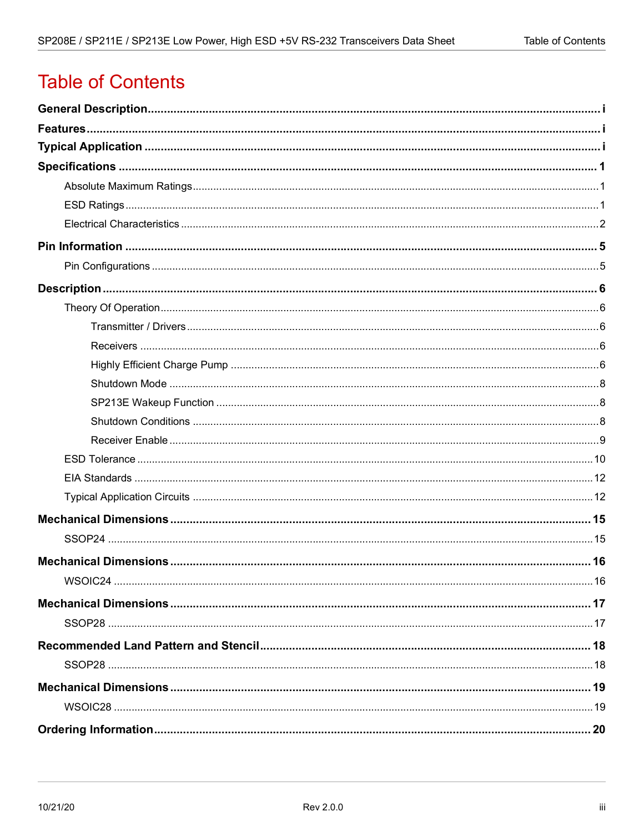# **Table of Contents**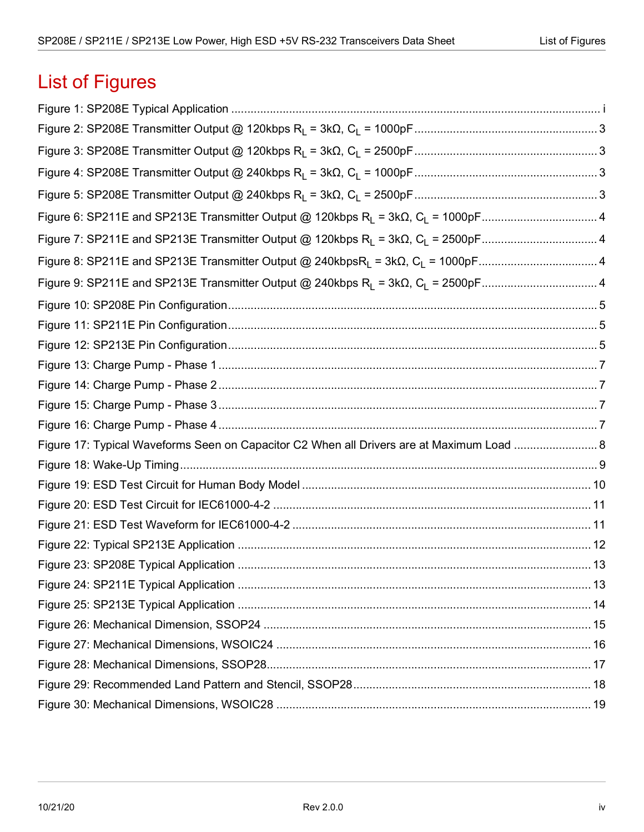# List of Figures

| Figure 6: SP211E and SP213E Transmitter Output @ 120kbps R <sub>L</sub> = 3kΩ, C <sub>L</sub> = 1000pF4 |  |
|---------------------------------------------------------------------------------------------------------|--|
|                                                                                                         |  |
| Figure 8: SP211E and SP213E Transmitter Output @ 240kbpsR <sub>L</sub> = 3kΩ, C <sub>L</sub> = 1000pF4  |  |
|                                                                                                         |  |
|                                                                                                         |  |
|                                                                                                         |  |
|                                                                                                         |  |
|                                                                                                         |  |
|                                                                                                         |  |
|                                                                                                         |  |
|                                                                                                         |  |
| Figure 17: Typical Waveforms Seen on Capacitor C2 When all Drivers are at Maximum Load  8               |  |
|                                                                                                         |  |
|                                                                                                         |  |
|                                                                                                         |  |
|                                                                                                         |  |
|                                                                                                         |  |
|                                                                                                         |  |
|                                                                                                         |  |
|                                                                                                         |  |
|                                                                                                         |  |
|                                                                                                         |  |
|                                                                                                         |  |
|                                                                                                         |  |
|                                                                                                         |  |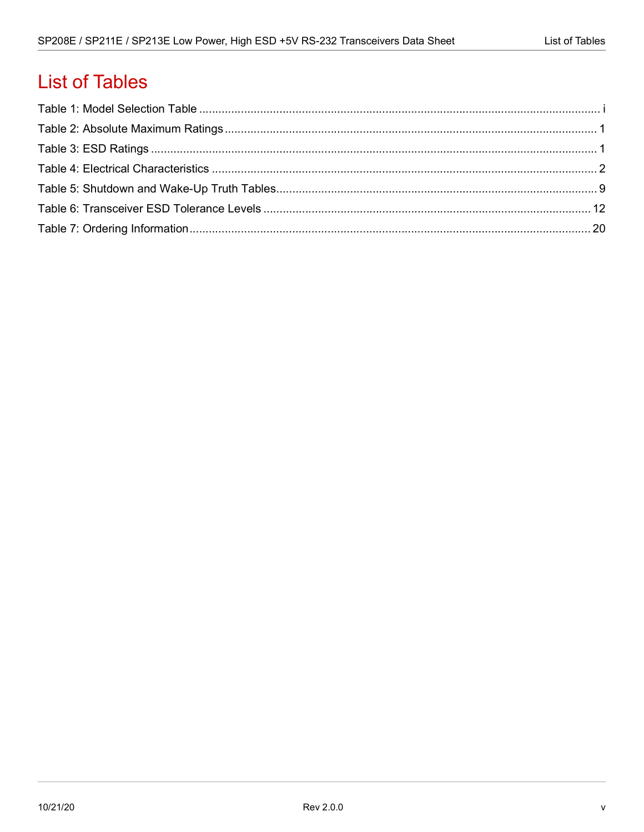## **List of Tables**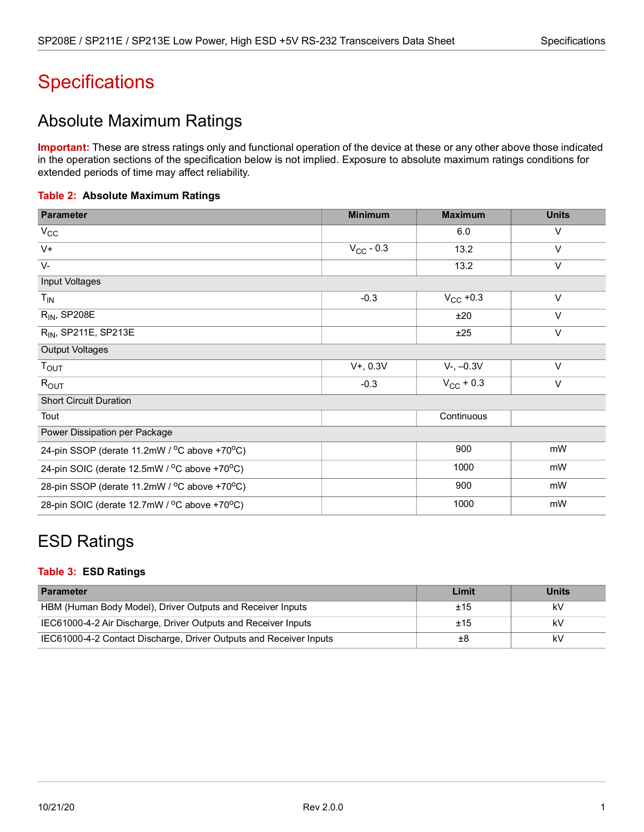# <span id="page-5-0"></span>**Specifications**

## <span id="page-5-1"></span>Absolute Maximum Ratings

**Important:** These are stress ratings only and functional operation of the device at these or any other above those indicated in the operation sections of the specification below is not implied. Exposure to absolute maximum ratings conditions for extended periods of time may affect reliability.

#### <span id="page-5-3"></span>**Table 2: Absolute Maximum Ratings**

| <b>Parameter</b>                             | <b>Minimum</b> | <b>Maximum</b>        | <b>Units</b> |
|----------------------------------------------|----------------|-----------------------|--------------|
| $V_{\rm CC}$                                 |                | 6.0                   | V            |
| $V +$                                        | $V_{CC}$ - 0.3 | 13.2                  | $\vee$       |
| $V -$                                        |                | 13.2                  | $\vee$       |
| Input Voltages                               |                |                       |              |
| $T_{IN}$                                     | $-0.3$         | $V_{CC}$ +0.3         | $\vee$       |
| $R_{IN}$ , SP208E                            |                | ±20                   | $\vee$       |
| R <sub>IN</sub> , SP211E, SP213E             |                | ±25                   | $\vee$       |
| <b>Output Voltages</b>                       |                |                       |              |
| $T_{\text{OUT}}$                             | $V+, 0.3V$     | $V-, -0.3V$           | $\vee$       |
| $R_{\text{OUT}}$                             | $-0.3$         | $V_{\text{CC}}$ + 0.3 | $\vee$       |
| <b>Short Circuit Duration</b>                |                |                       |              |
| Tout                                         |                | Continuous            |              |
| Power Dissipation per Package                |                |                       |              |
| 24-pin SSOP (derate 11.2mW / °C above +70°C) |                | 900                   | mW           |
| 24-pin SOIC (derate 12.5mW / °C above +70°C) |                | 1000                  | mW           |
| 28-pin SSOP (derate 11.2mW / °C above +70°C) |                | 900                   | mW           |
| 28-pin SOIC (derate 12.7mW / °C above +70°C) |                | 1000                  | mW           |

## <span id="page-5-2"></span>ESD Ratings

#### <span id="page-5-4"></span>**Table 3: ESD Ratings**

| <b>Parameter</b>                                                   | Limit | <b>Units</b> |
|--------------------------------------------------------------------|-------|--------------|
| HBM (Human Body Model), Driver Outputs and Receiver Inputs         | ±15   | kV           |
| IEC61000-4-2 Air Discharge, Driver Outputs and Receiver Inputs     | ±15   | kV           |
| IEC61000-4-2 Contact Discharge, Driver Outputs and Receiver Inputs | ±8    | k٧           |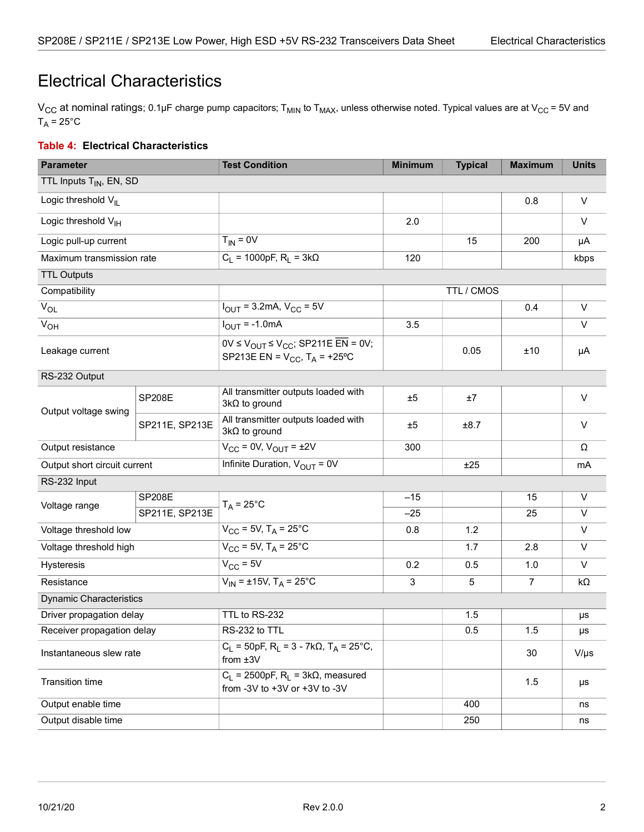## <span id="page-6-0"></span>Electrical Characteristics

V<sub>CC</sub> at nominal ratings; 0.1µF charge pump capacitors; T<sub>MIN</sub> to T<sub>MAX</sub>, unless otherwise noted. Typical values are at V<sub>CC</sub> = 5V and  $T_A = 25^{\circ}C$ 

#### <span id="page-6-1"></span>**Table 4: Electrical Characteristics**

| <b>Parameter</b>                    |                | <b>Test Condition</b>                                                                                                            | <b>Minimum</b> | <b>Typical</b> | <b>Maximum</b> | <b>Units</b> |
|-------------------------------------|----------------|----------------------------------------------------------------------------------------------------------------------------------|----------------|----------------|----------------|--------------|
| TTL Inputs T <sub>IN</sub> , EN, SD |                |                                                                                                                                  |                |                |                |              |
| Logic threshold V <sub>IL</sub>     |                |                                                                                                                                  |                |                | 0.8            | V            |
| Logic threshold V <sub>IH</sub>     |                |                                                                                                                                  | 2.0            |                |                | $\vee$       |
| Logic pull-up current               |                | $T_{IN} = 0V$                                                                                                                    |                | 15             | 200            | μA           |
| Maximum transmission rate           |                | $C_1 = 1000pF, R_1 = 3k\Omega$                                                                                                   | 120            |                |                | kbps         |
| <b>TTL Outputs</b>                  |                |                                                                                                                                  |                |                |                |              |
| Compatibility                       |                |                                                                                                                                  |                | TTL / CMOS     |                |              |
| $\bar{V}_{OL}$                      |                | $I_{\text{OUT}} = 3.2 \text{mA}, V_{\text{CC}} = 5V$                                                                             |                |                | 0.4            | $\vee$       |
| $V_{OH}$                            |                | $I_{\text{OUT}} = -1.0 \text{mA}$                                                                                                | 3.5            |                |                | $\vee$       |
| Leakage current                     |                | $0V \le V_{\text{OUT}} \le V_{\text{CC}}$ ; SP211E $\overline{\text{EN}}$ = 0V;<br>SP213E EN = $V_{CC}$ , T <sub>A</sub> = +25°C |                | 0.05           | ±10            | μA           |
| RS-232 Output                       |                |                                                                                                                                  |                |                |                |              |
| Output voltage swing                | <b>SP208E</b>  | All transmitter outputs loaded with<br>$3k\Omega$ to ground                                                                      | ±5             | ±7             |                | V            |
|                                     | SP211E, SP213E | All transmitter outputs loaded with<br>$3k\Omega$ to ground                                                                      | ±5             | ±8.7           |                | $\vee$       |
| Output resistance                   |                | $V_{CC}$ = 0V, $V_{OUT}$ = $\pm 2V$                                                                                              | 300            |                |                | Ω            |
| Output short circuit current        |                | Infinite Duration, $V_{OUT} = 0V$                                                                                                |                | ±25            |                | mA           |
| RS-232 Input                        |                |                                                                                                                                  |                |                |                |              |
| Voltage range                       | <b>SP208E</b>  | $T_A = 25^{\circ}C$                                                                                                              | $-15$          |                | 15             | $\vee$       |
|                                     | SP211E, SP213E |                                                                                                                                  | $-25$          |                | 25             | V            |
| Voltage threshold low               |                | $V_{CC}$ = 5V, T <sub>A</sub> = 25°C                                                                                             | 0.8            | 1.2            |                | $\vee$       |
| Voltage threshold high              |                | $V_{CC}$ = 5V, T <sub>A</sub> = 25°C                                                                                             |                | 1.7            | 2.8            | $\vee$       |
| Hysteresis                          |                | $V_{CC}$ = 5V                                                                                                                    | 0.2            | 0.5            | 1.0            | $\vee$       |
| Resistance                          |                | $V_{IN}$ = ±15V, T <sub>A</sub> = 25°C                                                                                           | $\mathbf{3}$   | 5              | $\overline{7}$ | kΩ           |
| <b>Dynamic Characteristics</b>      |                |                                                                                                                                  |                |                |                |              |
| Driver propagation delay            |                | TTL to RS-232                                                                                                                    |                | 1.5            |                | μs           |
| Receiver propagation delay          |                | RS-232 to TTL                                                                                                                    |                | 0.5            | 1.5            | μs           |
| Instantaneous slew rate             |                | $C_L$ = 50pF, R <sub>L</sub> = 3 - 7k $\Omega$ , T <sub>A</sub> = 25°C,<br>from $±3V$                                            |                |                | 30             | $V/\mu s$    |
| <b>Transition time</b>              |                | $C_1$ = 2500pF, $R_1$ = 3k $\Omega$ , measured<br>from -3V to +3V or +3V to -3V                                                  |                |                | 1.5            | μs           |
| Output enable time                  |                |                                                                                                                                  |                | 400            |                | ns           |
| Output disable time                 |                |                                                                                                                                  |                | 250            |                | ns           |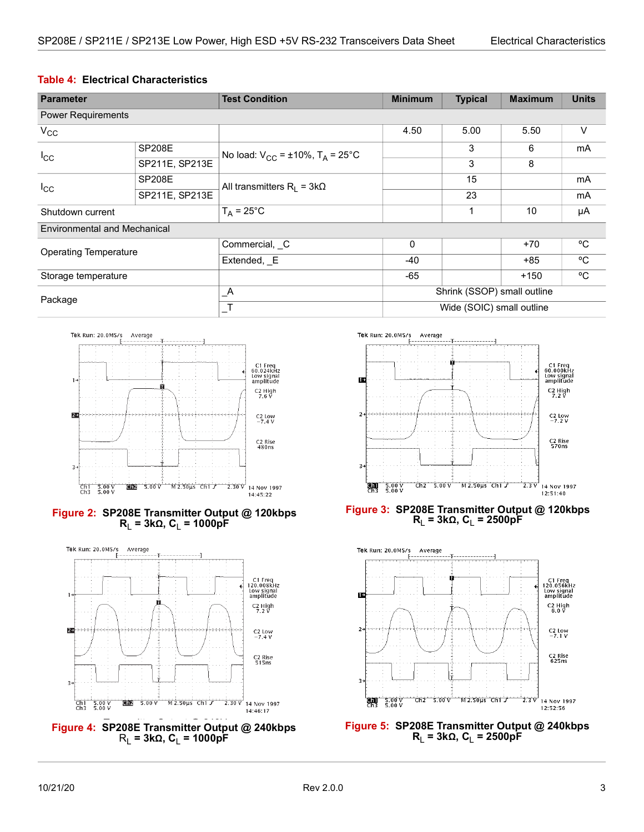#### <span id="page-7-4"></span>**Table 4: Electrical Characteristics**

| <b>Parameter</b>             |                | <b>Test Condition</b>                              | <b>Minimum</b>              | <b>Typical</b> | <b>Maximum</b> | <b>Units</b> |
|------------------------------|----------------|----------------------------------------------------|-----------------------------|----------------|----------------|--------------|
| <b>Power Requirements</b>    |                |                                                    |                             |                |                |              |
| $V_{\rm CC}$                 |                |                                                    | 4.50                        | 5.00           | 5.50           | $\vee$       |
| $I_{\rm CC}$                 | <b>SP208E</b>  | No load: $V_{CC} = \pm 10\%$ , $T_A = 25^{\circ}C$ |                             | 3              | 6              | mA           |
|                              | SP211E, SP213E | 3                                                  |                             | 8              |                |              |
| $I_{\rm CC}$                 | <b>SP208E</b>  | All transmitters $R_1 = 3k\Omega$                  |                             | 15             |                | mA           |
|                              | SP211E, SP213E |                                                    |                             | 23             |                | mA           |
| Shutdown current             |                | $T_A = 25^{\circ}C$                                |                             |                | 10             | μA           |
| Environmental and Mechanical |                |                                                    |                             |                |                |              |
| <b>Operating Temperature</b> |                | Commercial, C                                      | $\Omega$                    |                | $+70$          | °C           |
|                              |                | Extended, E                                        | $-40$                       |                | $+85$          | °C           |
| Storage temperature          |                |                                                    | -65                         |                | $+150$         | $\rm ^{o}C$  |
| Package                      |                | $\overline{\phantom{a}}^{\mathsf A}$               | Shrink (SSOP) small outline |                |                |              |
|                              |                |                                                    | Wide (SOIC) small outline   |                |                |              |



#### <span id="page-7-0"></span>**Figure 2: SP208E Transmitter Output @ 120kbps R**<sub>L</sub> = 3kΩ, C<sub>L</sub> = 1000pF



<span id="page-7-2"></span>



#### <span id="page-7-1"></span>**Figure 3: SP208E Transmitter Output @ 120kbps**   $R_1 = 3kΩ$ ,  $C_1 = 2500pF$



<span id="page-7-3"></span>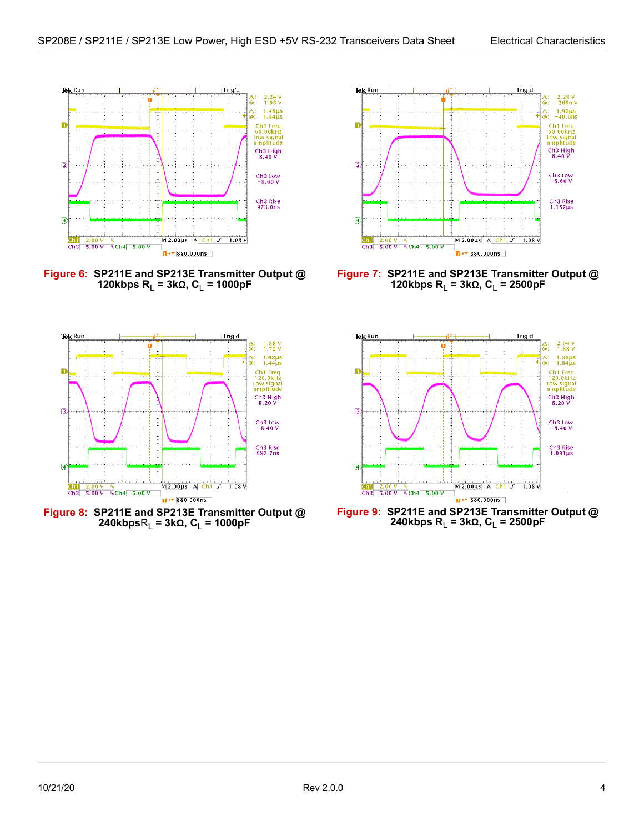<span id="page-8-4"></span>

<span id="page-8-0"></span>**Figure 6: SP211E and SP213E Transmitter Output @ 120kbps R<sub>L</sub> = 3kΩ, C<sub>L</sub> = 1000pF** 



<span id="page-8-2"></span>**Figure 8: SP211E and SP213E Transmitter Output @**   $240kbpsR_1 = 3k\Omega$ ,  $C_1 = 1000pF$ 



<span id="page-8-1"></span>**Figure 7: SP211E and SP213E Transmitter Output @ 120kbps R<sub>L</sub> = 3kΩ, C<sub>L</sub> = 2500pF** 



<span id="page-8-3"></span>**Figure 9: SP211E and SP213E Transmitter Output @ 240kbps R**L **= 3kΩ, C**L **= 2500pF**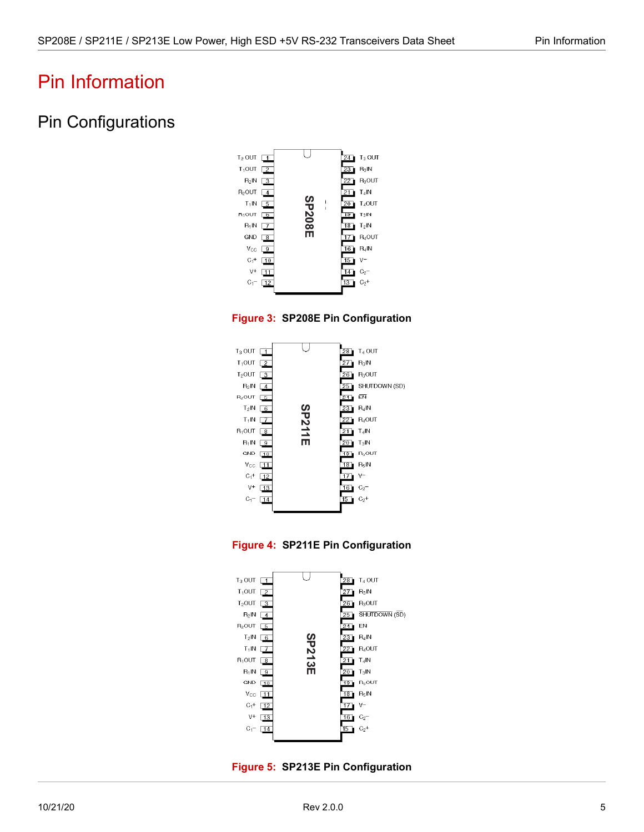## <span id="page-9-0"></span>Pin Information

## <span id="page-9-1"></span>Pin Configurations



<span id="page-9-2"></span>



<span id="page-9-3"></span>



<span id="page-9-4"></span>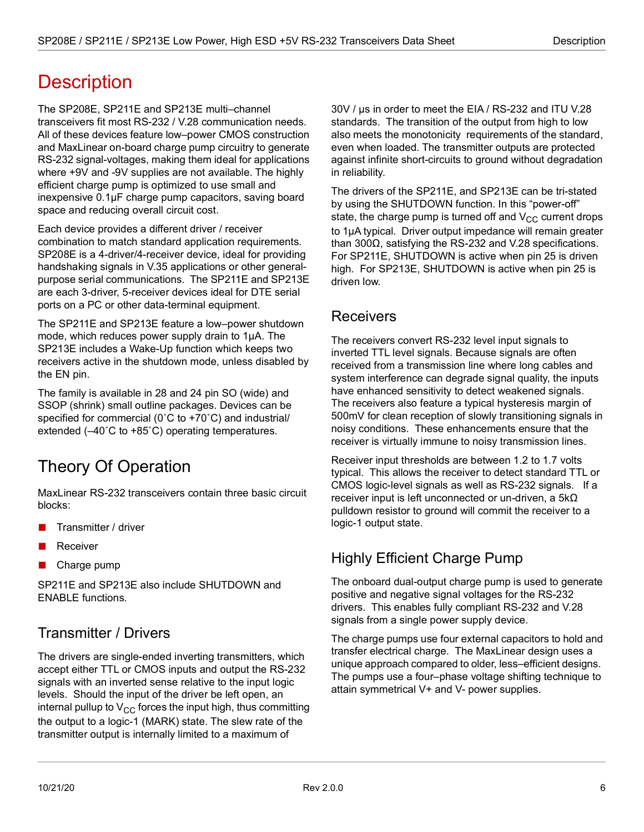## <span id="page-10-0"></span>**Description**

The SP208E, SP211E and SP213E multi–channel transceivers fit most RS-232 / V.28 communication needs. All of these devices feature low–power CMOS construction and MaxLinear on-board charge pump circuitry to generate RS-232 signal-voltages, making them ideal for applications where +9V and -9V supplies are not available. The highly efficient charge pump is optimized to use small and inexpensive 0.1µF charge pump capacitors, saving board space and reducing overall circuit cost.

Each device provides a different driver / receiver combination to match standard application requirements. SP208E is a 4-driver/4-receiver device, ideal for providing handshaking signals in V.35 applications or other generalpurpose serial communications. The SP211E and SP213E are each 3-driver, 5-receiver devices ideal for DTE serial ports on a PC or other data-terminal equipment.

The SP211E and SP213E feature a low–power shutdown mode, which reduces power supply drain to 1µA. The SP213E includes a Wake-Up function which keeps two receivers active in the shutdown mode, unless disabled by the EN pin.

The family is available in 28 and 24 pin SO (wide) and SSOP (shrink) small outline packages. Devices can be specified for commercial (0˚C to +70˚C) and industrial/ extended (–40˚C to +85˚C) operating temperatures.

## <span id="page-10-1"></span>Theory Of Operation

MaxLinear RS-232 transceivers contain three basic circuit blocks:

- Transmitter / driver
- **Receiver**
- Charge pump

SP211E and SP213E also include SHUTDOWN and ENABLE functions.

### <span id="page-10-2"></span>Transmitter / Drivers

The drivers are single-ended inverting transmitters, which accept either TTL or CMOS inputs and output the RS-232 signals with an inverted sense relative to the input logic levels. Should the input of the driver be left open, an internal pullup to  $V_{CC}$  forces the input high, thus committing the output to a logic-1 (MARK) state. The slew rate of the transmitter output is internally limited to a maximum of

30V / µs in order to meet the EIA / RS-232 and ITU V.28 standards. The transition of the output from high to low also meets the monotonicity requirements of the standard, even when loaded. The transmitter outputs are protected against infinite short-circuits to ground without degradation in reliability.

The drivers of the SP211E, and SP213E can be tri-stated by using the SHUTDOWN function. In this "power-off" state, the charge pump is turned off and  $V_{CC}$  current drops to 1µA typical. Driver output impedance will remain greater than 300Ω, satisfying the RS-232 and V.28 specifications. For SP211E, SHUTDOWN is active when pin 25 is driven high. For SP213E, SHUTDOWN is active when pin 25 is driven low.

### <span id="page-10-3"></span>**Receivers**

The receivers convert RS-232 level input signals to inverted TTL level signals. Because signals are often received from a transmission line where long cables and system interference can degrade signal quality, the inputs have enhanced sensitivity to detect weakened signals. The receivers also feature a typical hysteresis margin of 500mV for clean reception of slowly transitioning signals in noisy conditions. These enhancements ensure that the receiver is virtually immune to noisy transmission lines.

Receiver input thresholds are between 1.2 to 1.7 volts typical. This allows the receiver to detect standard TTL or CMOS logic-level signals as well as RS-232 signals. If a receiver input is left unconnected or un-driven, a 5kΩ pulldown resistor to ground will commit the receiver to a logic-1 output state.

## <span id="page-10-4"></span>Highly Efficient Charge Pump

The onboard dual-output charge pump is used to generate positive and negative signal voltages for the RS-232 drivers. This enables fully compliant RS-232 and V.28 signals from a single power supply device.

The charge pumps use four external capacitors to hold and transfer electrical charge. The MaxLinear design uses a unique approach compared to older, less–efficient designs. The pumps use a four–phase voltage shifting technique to attain symmetrical V+ and V- power supplies.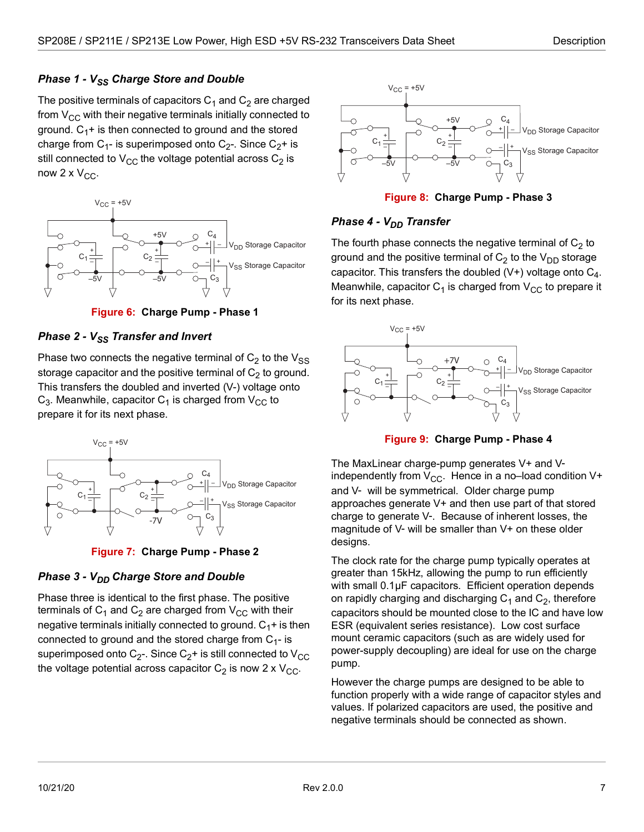#### **Phase 1 - V<sub>SS</sub> Charge Store and Double**

The positive terminals of capacitors  $C_1$  and  $C_2$  are charged from  $V_{CC}$  with their negative terminals initially connected to ground.  $C_1$ + is then connected to ground and the stored charge from C<sub>1</sub>- is superimposed onto C<sub>2</sub>-. Since C<sub>2</sub>+ is still connected to  $V_{CC}$  the voltage potential across  $C_2$  is now  $2 \times V_{CC}$ .



**Figure 6: Charge Pump - Phase 1**

#### <span id="page-11-0"></span>*Phase 2 - V<sub>SS</sub> Transfer and Invert*

Phase two connects the negative terminal of  $C_2$  to the  $V_{SS}$ storage capacitor and the positive terminal of  $C_2$  to ground. This transfers the doubled and inverted (V-) voltage onto  $C_3$ . Meanwhile, capacitor  $C_1$  is charged from  $V_{CC}$  to prepare it for its next phase.



**Figure 7: Charge Pump - Phase 2**

#### <span id="page-11-1"></span>*Phase 3 - V<sub>DD</sub> Charge Store and Double*

Phase three is identical to the first phase. The positive terminals of  $C_1$  and  $C_2$  are charged from  $V_{CC}$  with their negative terminals initially connected to ground.  $C_1$ + is then connected to ground and the stored charge from  $C_{1}$ - is superimposed onto  $C_{2}$ -. Since  $C_{2}$ + is still connected to  $V_{CC}$ the voltage potential across capacitor  $C_2$  is now 2 x  $V_{CC}$ .



**Figure 8: Charge Pump - Phase 3**

#### <span id="page-11-2"></span>*Phase 4 - V<sub>DD</sub> Transfer*

The fourth phase connects the negative terminal of  $C_2$  to ground and the positive terminal of  $C_2$  to the  $V_{DD}$  storage capacitor. This transfers the doubled  $(V+)$  voltage onto  $C_4$ . Meanwhile, capacitor  $C_1$  is charged from  $V_{CC}$  to prepare it for its next phase.





<span id="page-11-3"></span>The MaxLinear charge-pump generates V+ and Vindependently from  $V_{CC}$ . Hence in a no–load condition V+ and V- will be symmetrical. Older charge pump approaches generate V+ and then use part of that stored charge to generate V-. Because of inherent losses, the magnitude of V- will be smaller than V+ on these older designs.

The clock rate for the charge pump typically operates at greater than 15kHz, allowing the pump to run efficiently with small 0.1µF capacitors. Efficient operation depends on rapidly charging and discharging  $C_1$  and  $C_2$ , therefore capacitors should be mounted close to the IC and have low ESR (equivalent series resistance). Low cost surface mount ceramic capacitors (such as are widely used for power-supply decoupling) are ideal for use on the charge pump.

However the charge pumps are designed to be able to function properly with a wide range of capacitor styles and values. If polarized capacitors are used, the positive and negative terminals should be connected as shown.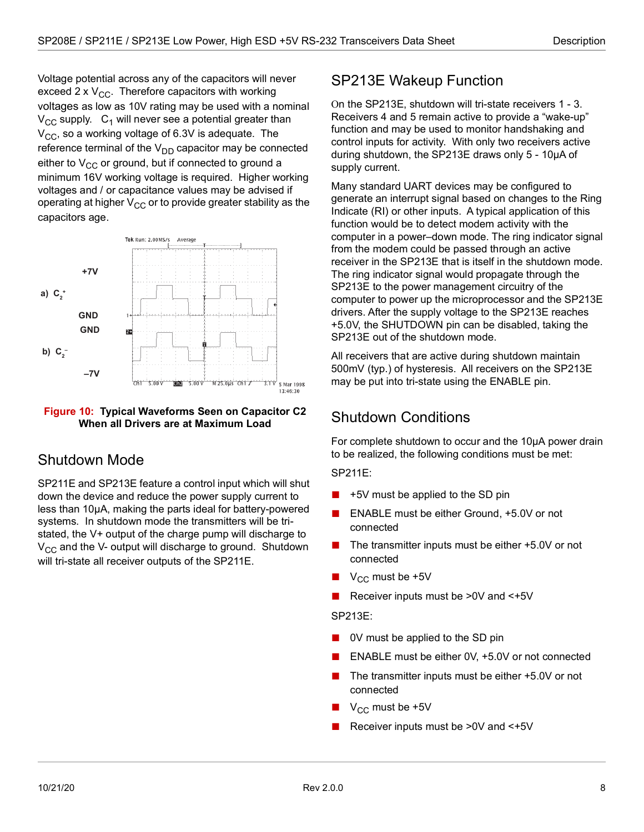Voltage potential across any of the capacitors will never exceed 2 x  $V_{CC}$ . Therefore capacitors with working voltages as low as 10V rating may be used with a nominal  $V_{CC}$  supply.  $C_1$  will never see a potential greater than  $V_{CC}$ , so a working voltage of 6.3V is adequate. The reference terminal of the  $V_{DD}$  capacitor may be connected either to  $V_{CC}$  or ground, but if connected to ground a minimum 16V working voltage is required. Higher working voltages and / or capacitance values may be advised if operating at higher  $V_{CC}$  or to provide greater stability as the capacitors age.



#### <span id="page-12-3"></span>**Figure 10: Typical Waveforms Seen on Capacitor C2 When all Drivers are at Maximum Load**

### <span id="page-12-0"></span>Shutdown Mode

SP211E and SP213E feature a control input which will shut down the device and reduce the power supply current to less than 10µA, making the parts ideal for battery-powered systems. In shutdown mode the transmitters will be tristated, the V+ output of the charge pump will discharge to  $V_{CC}$  and the V- output will discharge to ground. Shutdown will tri-state all receiver outputs of the SP211E.

### <span id="page-12-1"></span>SP213E Wakeup Function

On the SP213E, shutdown will tri-state receivers 1 - 3. Receivers 4 and 5 remain active to provide a "wake-up" function and may be used to monitor handshaking and control inputs for activity. With only two receivers active during shutdown, the SP213E draws only 5 - 10µA of supply current.

Many standard UART devices may be configured to generate an interrupt signal based on changes to the Ring Indicate (RI) or other inputs. A typical application of this function would be to detect modem activity with the computer in a power–down mode. The ring indicator signal from the modem could be passed through an active receiver in the SP213E that is itself in the shutdown mode. The ring indicator signal would propagate through the SP213E to the power management circuitry of the computer to power up the microprocessor and the SP213E drivers. After the supply voltage to the SP213E reaches +5.0V, the SHUTDOWN pin can be disabled, taking the SP213E out of the shutdown mode.

All receivers that are active during shutdown maintain 500mV (typ.) of hysteresis. All receivers on the SP213E may be put into tri-state using the ENABLE pin.

### <span id="page-12-2"></span>Shutdown Conditions

For complete shutdown to occur and the 10µA power drain to be realized, the following conditions must be met:

SP211E:

- +5V must be applied to the SD pin
- ENABLE must be either Ground, +5.0V or not connected
- The transmitter inputs must be either +5.0V or not connected
- $\blacksquare$  V<sub>CC</sub> must be +5V
- Receiver inputs must be >0V and <+5V

#### SP213E:

- 0V must be applied to the SD pin
- ENABLE must be either 0V, +5.0V or not connected
- The transmitter inputs must be either +5.0V or not connected
- $V_{CC}$  must be +5V
- Receiver inputs must be >0V and <+5V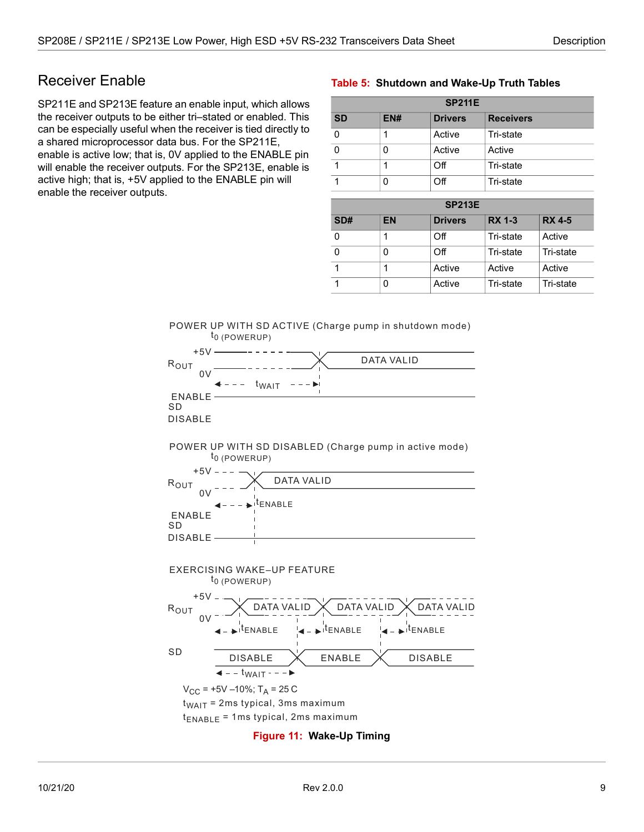### <span id="page-13-0"></span>Receiver Enable

SP211E and SP213E feature an enable input, which allows the receiver outputs to be either tri–stated or enabled. This can be especially useful when the receiver is tied directly to a shared microprocessor data bus. For the SP211E, enable is active low; that is, 0V applied to the ENABLE pin will enable the receiver outputs. For the SP213E, enable is active high; that is, +5V applied to the ENABLE pin will enable the receiver outputs.

#### <span id="page-13-2"></span>**Table 5: Shutdown and Wake-Up Truth Tables**

| <b>SP211E</b> |     |                |                  |  |
|---------------|-----|----------------|------------------|--|
| <b>SD</b>     | EN# | <b>Drivers</b> | <b>Receivers</b> |  |
| $\mathbf{0}$  |     | Active         | Tri-state        |  |
| $\mathbf{0}$  |     | Active         | Active           |  |
|               |     | Off            | Tri-state        |  |
|               |     | Οff            | Tri-state        |  |

| <b>SP213E</b> |    |                |               |               |
|---------------|----|----------------|---------------|---------------|
| SD#           | EN | <b>Drivers</b> | <b>RX 1-3</b> | <b>RX 4-5</b> |
|               |    | Off            | Tri-state     | Active        |
|               |    | Off            | Tri-state     | Tri-state     |
|               |    | Active         | Active        | Active        |
|               |    | Active         | Tri-state     | Tri-state     |





<span id="page-13-1"></span>**Figure 11: Wake-Up Timing**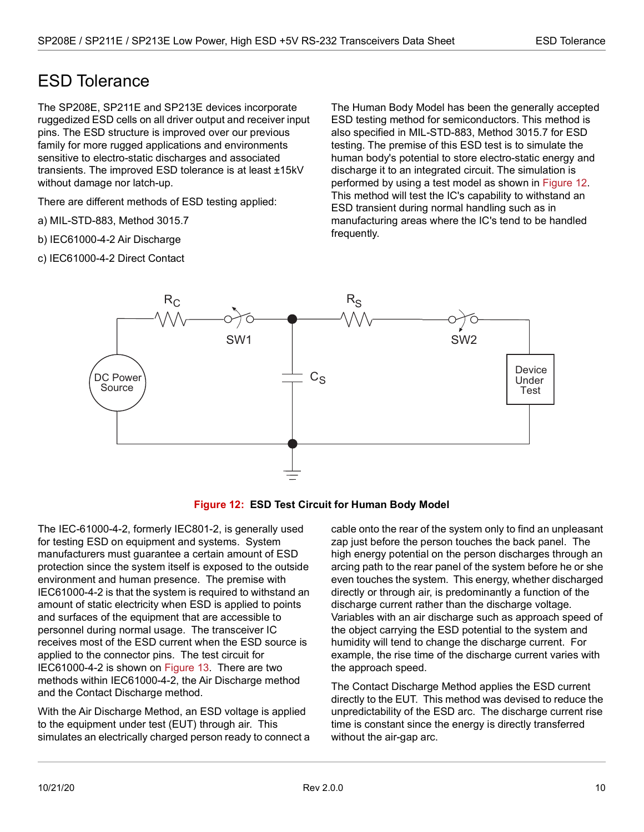### <span id="page-14-0"></span>ESD Tolerance

The SP208E, SP211E and SP213E devices incorporate ruggedized ESD cells on all driver output and receiver input pins. The ESD structure is improved over our previous family for more rugged applications and environments sensitive to electro-static discharges and associated transients. The improved ESD tolerance is at least ±15kV without damage nor latch-up.

There are different methods of ESD testing applied:

- a) MIL-STD-883, Method 3015.7
- b) IEC61000-4-2 Air Discharge
- c) IEC61000-4-2 Direct Contact

The Human Body Model has been the generally accepted ESD testing method for semiconductors. This method is also specified in MIL-STD-883, Method 3015.7 for ESD testing. The premise of this ESD test is to simulate the human body's potential to store electro-static energy and discharge it to an integrated circuit. The simulation is performed by using a test model as shown in [Figure 12](#page-14-1). This method will test the IC's capability to withstand an ESD transient during normal handling such as in manufacturing areas where the IC's tend to be handled frequently.



**Figure 12: ESD Test Circuit for Human Body Model**

<span id="page-14-1"></span>The IEC-61000-4-2, formerly IEC801-2, is generally used for testing ESD on equipment and systems. System manufacturers must guarantee a certain amount of ESD protection since the system itself is exposed to the outside environment and human presence. The premise with IEC61000-4-2 is that the system is required to withstand an amount of static electricity when ESD is applied to points and surfaces of the equipment that are accessible to personnel during normal usage. The transceiver IC receives most of the ESD current when the ESD source is applied to the connector pins. The test circuit for IEC61000-4-2 is shown on [Figure 13.](#page-15-0) There are two methods within IEC61000-4-2, the Air Discharge method and the Contact Discharge method.

With the Air Discharge Method, an ESD voltage is applied to the equipment under test (EUT) through air. This simulates an electrically charged person ready to connect a cable onto the rear of the system only to find an unpleasant zap just before the person touches the back panel. The high energy potential on the person discharges through an arcing path to the rear panel of the system before he or she even touches the system. This energy, whether discharged directly or through air, is predominantly a function of the discharge current rather than the discharge voltage. Variables with an air discharge such as approach speed of the object carrying the ESD potential to the system and humidity will tend to change the discharge current. For example, the rise time of the discharge current varies with the approach speed.

The Contact Discharge Method applies the ESD current directly to the EUT. This method was devised to reduce the unpredictability of the ESD arc. The discharge current rise time is constant since the energy is directly transferred without the air-gap arc.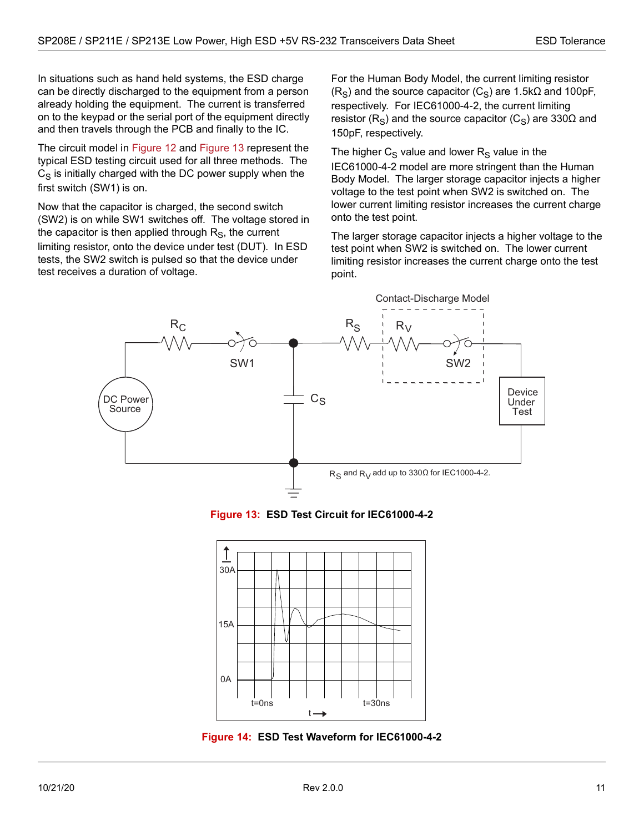In situations such as hand held systems, the ESD charge can be directly discharged to the equipment from a person already holding the equipment. The current is transferred on to the keypad or the serial port of the equipment directly and then travels through the PCB and finally to the IC.

The circuit model in [Figure 12](#page-14-1) and [Figure 13](#page-15-0) represent the typical ESD testing circuit used for all three methods. The  $C_S$  is initially charged with the DC power supply when the first switch (SW1) is on.

Now that the capacitor is charged, the second switch (SW2) is on while SW1 switches off. The voltage stored in the capacitor is then applied through  $R<sub>S</sub>$ , the current limiting resistor, onto the device under test (DUT). In ESD tests, the SW2 switch is pulsed so that the device under test receives a duration of voltage.

For the Human Body Model, the current limiting resistor  $(R<sub>S</sub>)$  and the source capacitor  $(C<sub>S</sub>)$  are 1.5k $\Omega$  and 100pF, respectively. For IEC61000-4-2, the current limiting resistor (R<sub>S</sub>) and the source capacitor (C<sub>S</sub>) are 330Ω and 150pF, respectively.

The higher  $C_S$  value and lower  $R_S$  value in the IEC61000-4-2 model are more stringent than the Human Body Model. The larger storage capacitor injects a higher voltage to the test point when SW2 is switched on. The lower current limiting resistor increases the current charge onto the test point.

The larger storage capacitor injects a higher voltage to the test point when SW2 is switched on. The lower current limiting resistor increases the current charge onto the test point.



**Figure 13: ESD Test Circuit for IEC61000-4-2**

<span id="page-15-0"></span>

<span id="page-15-1"></span>**Figure 14: ESD Test Waveform for IEC61000-4-2**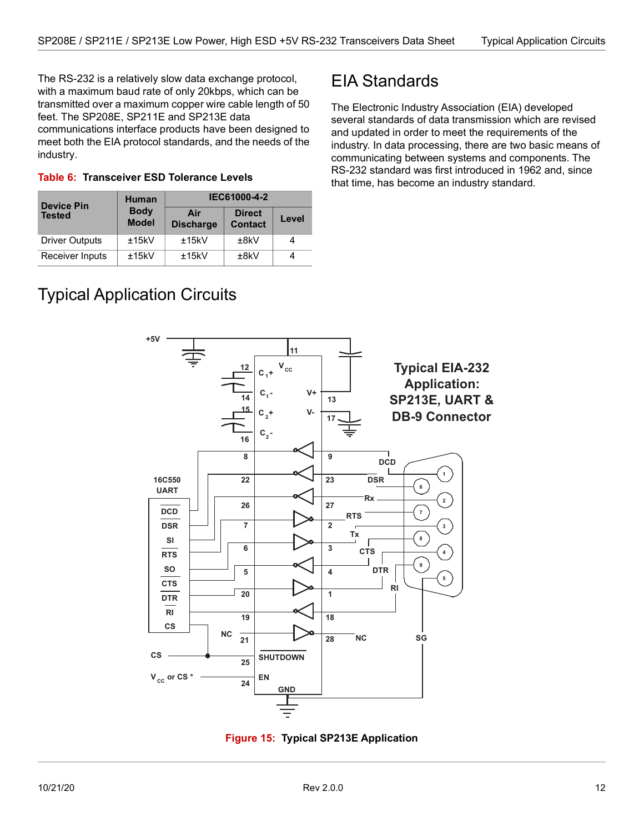The RS-232 is a relatively slow data exchange protocol, with a maximum baud rate of only 20kbps, which can be transmitted over a maximum copper wire cable length of 50 feet. The SP208E, SP211E and SP213E data communications interface products have been designed to meet both the EIA protocol standards, and the needs of the industry.

<span id="page-16-3"></span>

|  | Table 6: Transceiver ESD Tolerance Levels |  |  |
|--|-------------------------------------------|--|--|
|--|-------------------------------------------|--|--|

| <b>Device Pin</b>     | <b>Human</b>                | IEC61000-4-2            |                                 |       |  |
|-----------------------|-----------------------------|-------------------------|---------------------------------|-------|--|
| <b>Tested</b>         | <b>Body</b><br><b>Model</b> | Air<br><b>Discharge</b> | <b>Direct</b><br><b>Contact</b> | Level |  |
| <b>Driver Outputs</b> | ±15kV                       | ±15kV                   | ±8kV                            |       |  |
| Receiver Inputs       | ±15kV                       | ±15kV                   | ±8kV                            |       |  |

### <span id="page-16-0"></span>EIA Standards

The Electronic Industry Association (EIA) developed several standards of data transmission which are revised and updated in order to meet the requirements of the industry. In data processing, there are two basic means of communicating between systems and components. The RS-232 standard was first introduced in 1962 and, since that time, has become an industry standard.

## <span id="page-16-1"></span>Typical Application Circuits



<span id="page-16-2"></span>**Figure 15: Typical SP213E Application**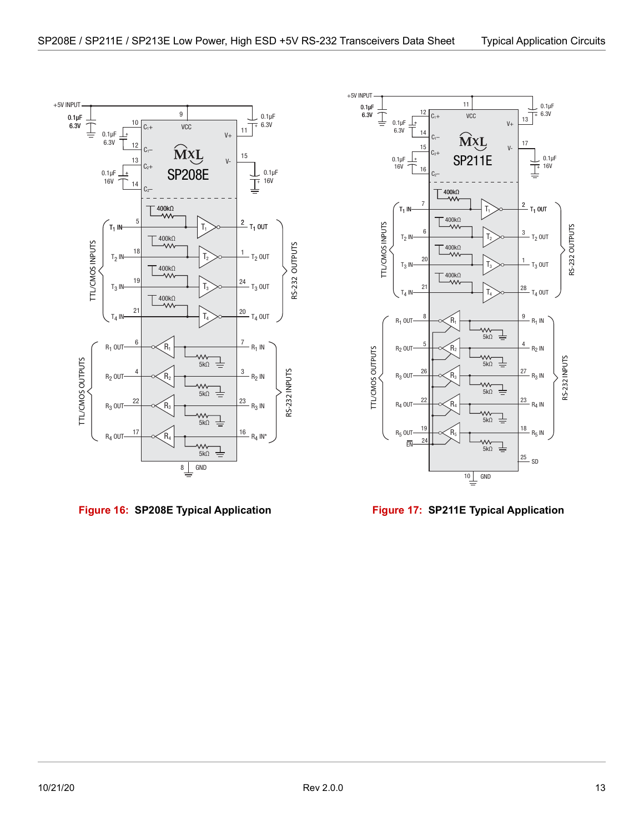

<span id="page-17-0"></span>**Figure 16: SP208E Typical Application Figure 17: SP211E Typical Application**



<span id="page-17-1"></span>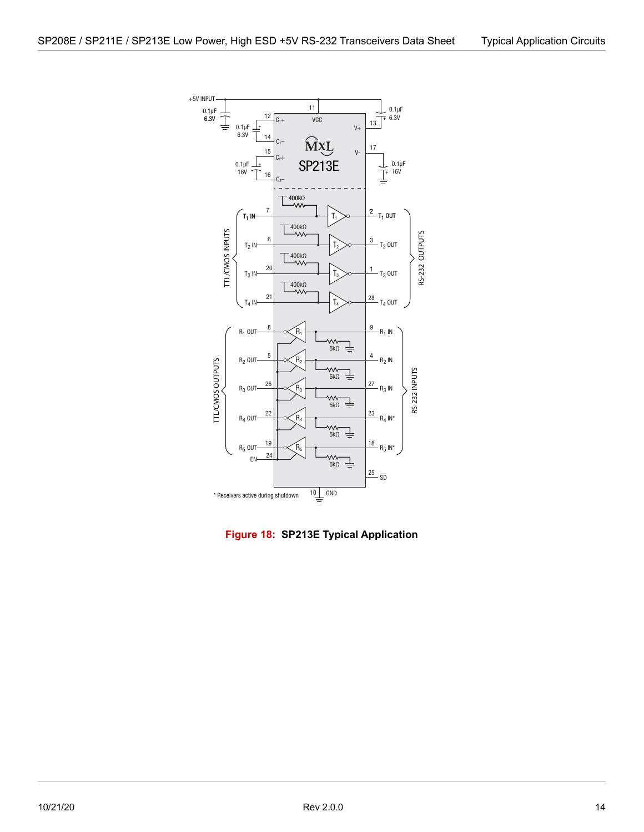

<span id="page-18-0"></span>**Figure 18: SP213E Typical Application**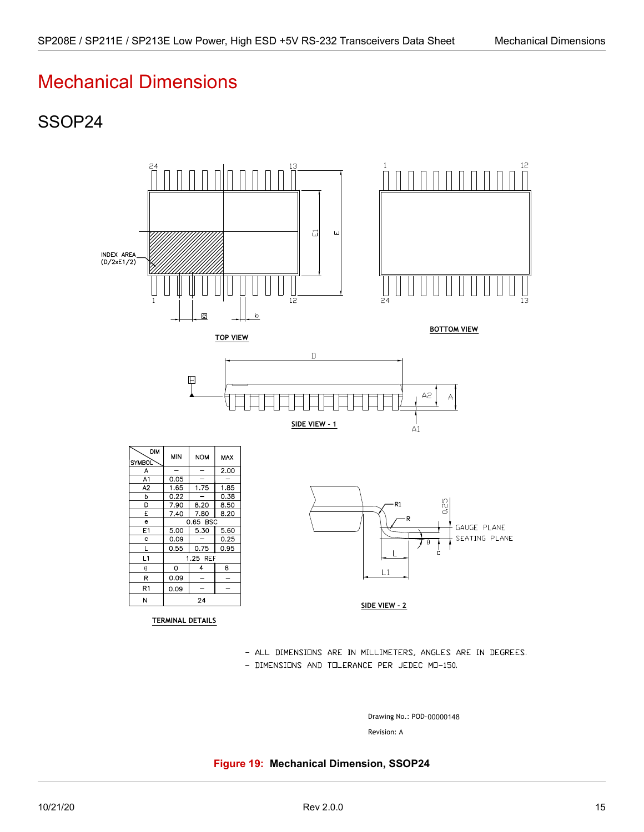### <span id="page-19-1"></span><span id="page-19-0"></span>SSOP24



- ALL DIMENSIONS ARE IN MILLIMETERS, ANGLES ARE IN DEGREES.

- DIMENSIONS AND TOLERANCE PER JEDEC MO-150.

Drawing No.: POD-00000148

Revision: A

<span id="page-19-2"></span>**Figure 19: Mechanical Dimension, SSOP24**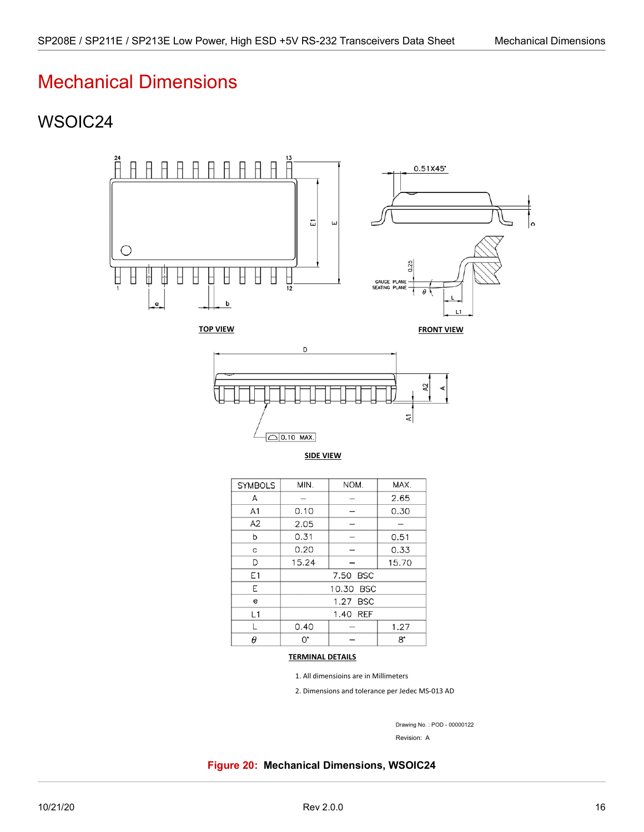### <span id="page-20-1"></span><span id="page-20-0"></span>WSOIC24



 $\Box$ 0.10 MAX.

**SIDE VIEW**

| <b>SYMBOLS</b> | MIN.      | NOM. | MAX.  |  |
|----------------|-----------|------|-------|--|
| A              |           |      | 2.65  |  |
| A <sub>1</sub> | 0.10      |      | 0.30  |  |
| A2             | 2.05      |      |       |  |
| b              | 0.31      |      | 0.51  |  |
| C              | 0.20      |      | 0.33  |  |
| D              | 15.24     |      | 15.70 |  |
| E1             | 7.50 BSC  |      |       |  |
| Ε              | 10.30 BSC |      |       |  |
| e              | 1.27 BSC  |      |       |  |
| L1             | 1.40 REF  |      |       |  |
|                | 0.40      |      | 1.27  |  |
| A              | 0.        |      | 8.    |  |

#### **TERMINAL DETAILS**

1. All dimensioins are in Millimeters

2. Dimensions and tolerance per Jedec MS-013 AD

Drawing No. : POD - 00000122

Revision: A

<span id="page-20-2"></span>**Figure 20: Mechanical Dimensions, WSOIC24**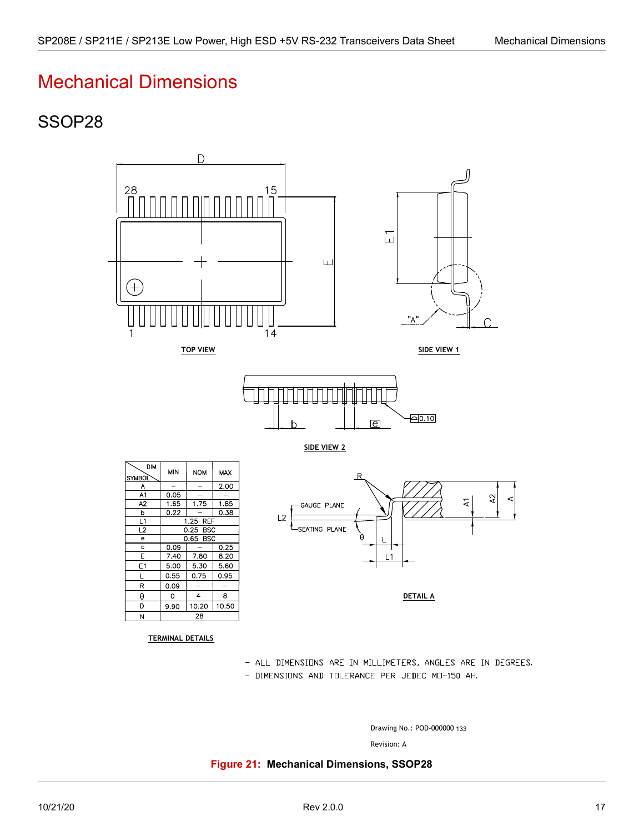## <span id="page-21-1"></span><span id="page-21-0"></span>SSOP28



- ALL DIMENSIONS ARE IN MILLIMETERS, ANGLES ARE IN DEGREES.
- DIMENSIONS AND TOLERANCE PER JEDEC MO-150 AH.

Drawing No.: POD-000000 133

Revision: A

<span id="page-21-2"></span>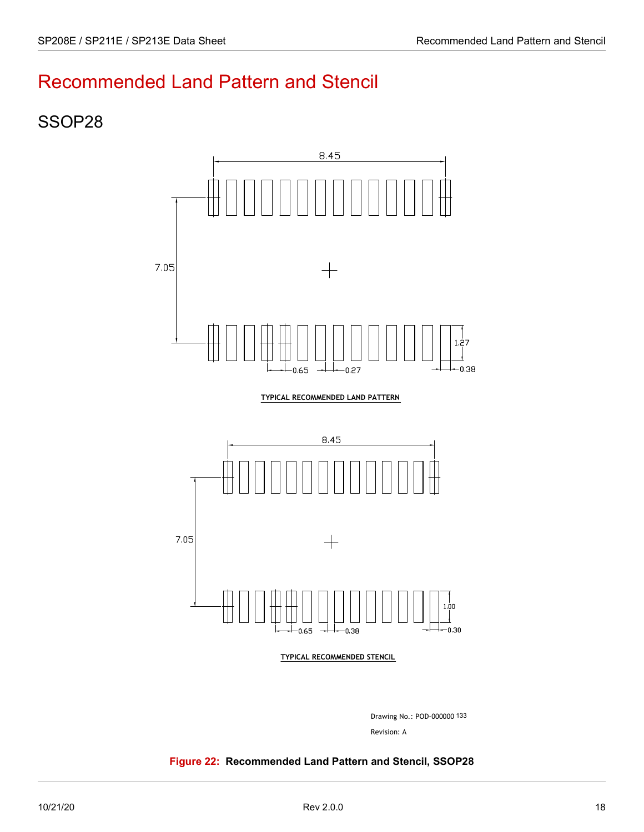## <span id="page-22-0"></span>Recommended Land Pattern and Stencil

### <span id="page-22-1"></span>SSOP28



Drawing No.: POD-000000 133

Revision: A

#### <span id="page-22-2"></span>**Figure 22: Recommended Land Pattern and Stencil, SSOP28**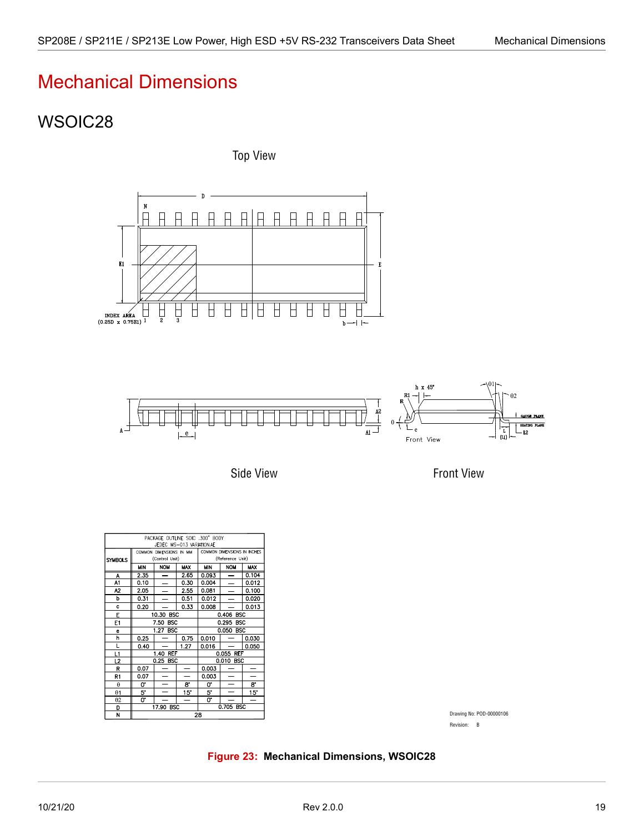## <span id="page-23-1"></span><span id="page-23-0"></span>WSOIC28

Top View





Side View

Front View

| PACKAGE OUTLINE SOIC .300" BODY<br>JEDEC MS-013 VARIATION AE |                                           |                    |            |                                                 |            |            |  |
|--------------------------------------------------------------|-------------------------------------------|--------------------|------------|-------------------------------------------------|------------|------------|--|
| <b>SYMBOLS</b>                                               | COMMON DIMENSIONS IN MM<br>(Control Unit) |                    |            | COMMON DIMENSIONS IN INCHES<br>(Reference Unit) |            |            |  |
|                                                              | MIN                                       | <b>NOM</b>         | <b>MAX</b> | <b>MIN</b>                                      | <b>NOM</b> | <b>MAX</b> |  |
| A                                                            | 2.35                                      |                    | 2.65       | 0.093                                           |            | 0.104      |  |
| A1                                                           | 0.10                                      |                    | 0.30       | 0.004                                           |            | 0.012      |  |
| А2                                                           | 2.05                                      |                    | 2.55       | 0.081                                           |            | 0.100      |  |
| b                                                            | 0.31                                      |                    | 0.51       | 0.012                                           |            | 0.020      |  |
| c                                                            | 0.20                                      |                    | 0.33       | 0.008                                           |            | 0.013      |  |
| E                                                            | 10.30 BSC                                 |                    |            | 0.406 BSC                                       |            |            |  |
| E1                                                           | <b>BSC</b><br>7.50                        |                    |            | 0.295 BSC                                       |            |            |  |
| e                                                            | 1.27 BSC                                  |                    |            | 0.050 BSC                                       |            |            |  |
| h                                                            | 0.25                                      |                    | 0.75       | 0.010                                           |            | 0.030      |  |
| L                                                            | 0.40                                      |                    | 1.27       | 0.016                                           |            | 0.050      |  |
| L1                                                           |                                           | <b>REF</b><br>1.40 |            | 0.055 REF                                       |            |            |  |
| L2                                                           | 0.25 BSC                                  |                    |            |                                                 | 0.010 BSC  |            |  |
| R                                                            | 0.07                                      |                    |            | 0.003                                           |            |            |  |
| R1                                                           | 0.07                                      |                    |            | 0.003                                           |            |            |  |
| $\theta$                                                     | 0.                                        |                    | 8.         | o.                                              |            | 8.         |  |
| $\theta$ 1                                                   | 5.                                        |                    | 15"        | 5.                                              |            | 15"        |  |
| $\theta$ 2                                                   | U.                                        |                    |            | 0.                                              |            | -          |  |
| D                                                            | <b>BSC</b><br>17.90                       |                    |            | 0.705 BSC                                       |            |            |  |
| N                                                            | 28                                        |                    |            |                                                 |            |            |  |

Drawing No: POD-00000106 Revision: B

<span id="page-23-2"></span>**Figure 23: Mechanical Dimensions, WSOIC28**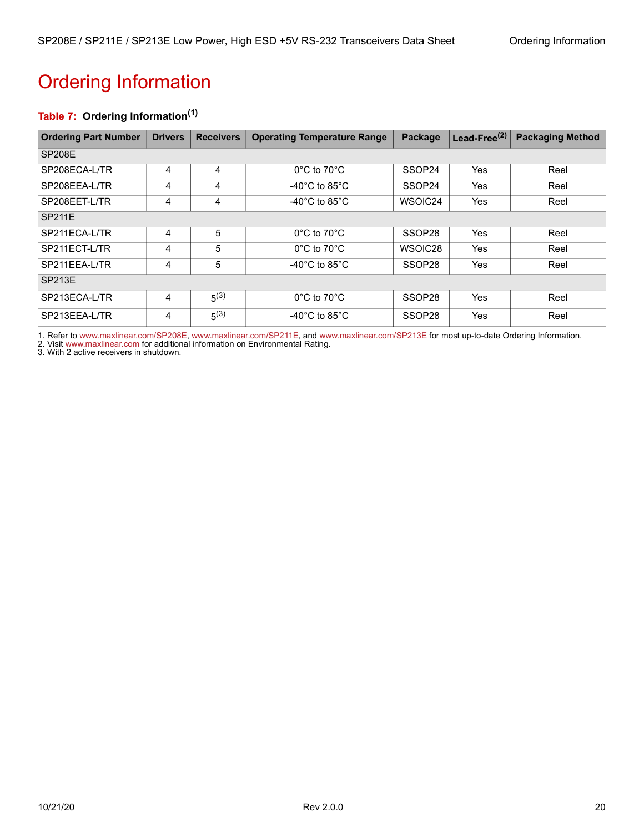# <span id="page-24-1"></span><span id="page-24-0"></span>Ordering Information

### <span id="page-24-2"></span>**Table 7: Ordering Information(1)**

| <b>Ordering Part Number</b> | <b>Drivers</b> | <b>Receivers</b> | <b>Operating Temperature Range</b>  | Package            | Lead-Free <sup>(2)</sup> | <b>Packaging Method</b> |
|-----------------------------|----------------|------------------|-------------------------------------|--------------------|--------------------------|-------------------------|
| <b>SP208E</b>               |                |                  |                                     |                    |                          |                         |
| SP208ECA-L/TR               | 4              | 4                | $0^{\circ}$ C to $70^{\circ}$ C     | SSOP24             | <b>Yes</b>               | Reel                    |
| SP208EEA-L/TR               | 4              | 4                | -40°C to 85°C                       | SSOP24             | Yes                      | Reel                    |
| SP208EET-L/TR               | 4              | 4                | -40 $^{\circ}$ C to 85 $^{\circ}$ C | WSOIC24            | Yes                      | Reel                    |
| <b>SP211E</b>               |                |                  |                                     |                    |                          |                         |
| SP211ECA-L/TR               | 4              | 5                | $0^{\circ}$ C to 70 $^{\circ}$ C    | SSOP28             | <b>Yes</b>               | Reel                    |
| SP211ECT-L/TR               | 4              | 5                | $0^{\circ}$ C to 70 $^{\circ}$ C    | WSOIC28            | <b>Yes</b>               | Reel                    |
| SP211EEA-L/TR               | 4              | 5                | -40 $^{\circ}$ C to 85 $^{\circ}$ C | SSOP28             | Yes                      | Reel                    |
| <b>SP213E</b>               |                |                  |                                     |                    |                          |                         |
| SP213ECA-L/TR               | 4              | $5^{(3)}$        | $0^{\circ}$ C to $70^{\circ}$ C     | SSOP28             | <b>Yes</b>               | Reel                    |
| SP213EEA-L/TR               | 4              | $5^{(3)}$        | -40 $^{\circ}$ C to 85 $^{\circ}$ C | SSOP <sub>28</sub> | Yes                      | Reel                    |

1. Refer to [www.maxlinear.com/SP208E,](http://www.maxlinear.com/SP208E)[www.maxlinear.com/SP211E,](http://www.maxlinear.com/SP211E) and [www.maxlinear.com/SP213E](http://www.maxlinear.com/SP213E) for most up-to-date Ordering Information.

2. Visit[www.maxlinear.com](http://www.maxlinear.com) for additional information on Environmental Rating.

3. With 2 active receivers in shutdown.